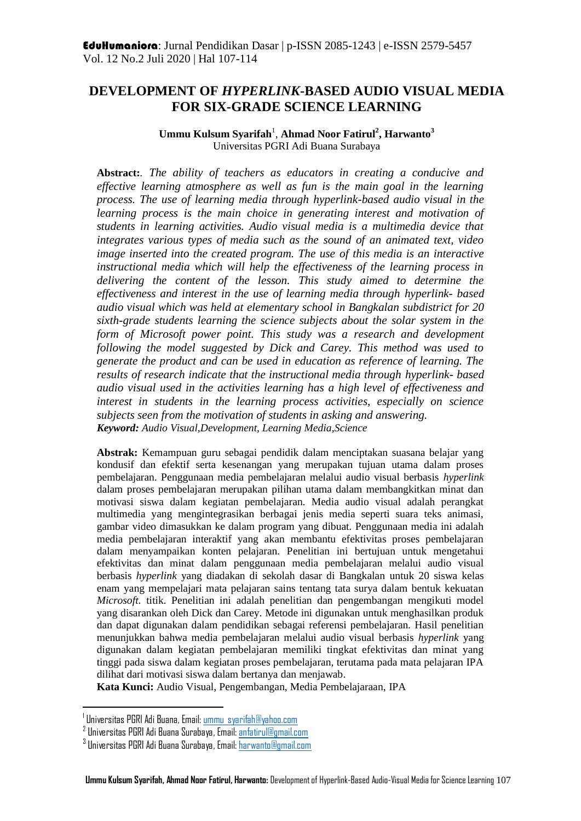# **DEVELOPMENT OF** *HYPERLINK***-BASED AUDIO VISUAL MEDIA FOR SIX-GRADE SCIENCE LEARNING**

#### $\bf U$ mmu Kulsum Syarifah<sup>1</sup>, Ahmad Noor Fatirul<sup>2</sup>, Harwanto<sup>3</sup> Universitas PGRI Adi Buana Surabaya

**Abstract:***. The ability of teachers as educators in creating a conducive and effective learning atmosphere as well as fun is the main goal in the learning process. The use of learning media through hyperlink-based audio visual in the learning process is the main choice in generating interest and motivation of students in learning activities. Audio visual media is a multimedia device that integrates various types of media such as the sound of an animated text, video image inserted into the created program. The use of this media is an interactive instructional media which will help the effectiveness of the learning process in delivering the content of the lesson. This study aimed to determine the effectiveness and interest in the use of learning media through hyperlink- based audio visual which was held at elementary school in Bangkalan subdistrict for 20 sixth-grade students learning the science subjects about the solar system in the form of Microsoft power point. This study was a research and development following the model suggested by Dick and Carey. This method was used to generate the product and can be used in education as reference of learning. The results of research indicate that the instructional media through hyperlink- based audio visual used in the activities learning has a high level of effectiveness and interest in students in the learning process activities, especially on science subjects seen from the motivation of students in asking and answering. Keyword: Audio Visual,Development, Learning Media,Science*

**Abstrak:** Kemampuan guru sebagai pendidik dalam menciptakan suasana belajar yang kondusif dan efektif serta kesenangan yang merupakan tujuan utama dalam proses pembelajaran. Penggunaan media pembelajaran melalui audio visual berbasis *hyperlink* dalam proses pembelajaran merupakan pilihan utama dalam membangkitkan minat dan motivasi siswa dalam kegiatan pembelajaran. Media audio visual adalah perangkat multimedia yang mengintegrasikan berbagai jenis media seperti suara teks animasi, gambar video dimasukkan ke dalam program yang dibuat. Penggunaan media ini adalah media pembelajaran interaktif yang akan membantu efektivitas proses pembelajaran dalam menyampaikan konten pelajaran. Penelitian ini bertujuan untuk mengetahui efektivitas dan minat dalam penggunaan media pembelajaran melalui audio visual berbasis *hyperlink* yang diadakan di sekolah dasar di Bangkalan untuk 20 siswa kelas enam yang mempelajari mata pelajaran sains tentang tata surya dalam bentuk kekuatan *Microsoft*. titik. Penelitian ini adalah penelitian dan pengembangan mengikuti model yang disarankan oleh Dick dan Carey. Metode ini digunakan untuk menghasilkan produk dan dapat digunakan dalam pendidikan sebagai referensi pembelajaran. Hasil penelitian menunjukkan bahwa media pembelajaran melalui audio visual berbasis *hyperlink* yang digunakan dalam kegiatan pembelajaran memiliki tingkat efektivitas dan minat yang tinggi pada siswa dalam kegiatan proses pembelajaran, terutama pada mata pelajaran IPA dilihat dari motivasi siswa dalam bertanya dan menjawab.

**Kata Kunci:** Audio Visual, Pengembangan, Media Pembelajaraan, IPA

 $\overline{a}$ 

<sup>&</sup>lt;sup>1</sup> Universitas PGRI Adi Buana, Email[: ummu\\_syarifah@yahoo.com](mailto:ummu_syarifah@yahoo.com)

<sup>&</sup>lt;sup>2</sup> Universitas PGRI Adi Buana Surabaya, Email: <u>anfatirul@gmail.com</u>

<sup>&</sup>lt;sup>3</sup> Universitas PGRI Adi Buana Surabaya, Email: <u>harwanto@gmail.com</u>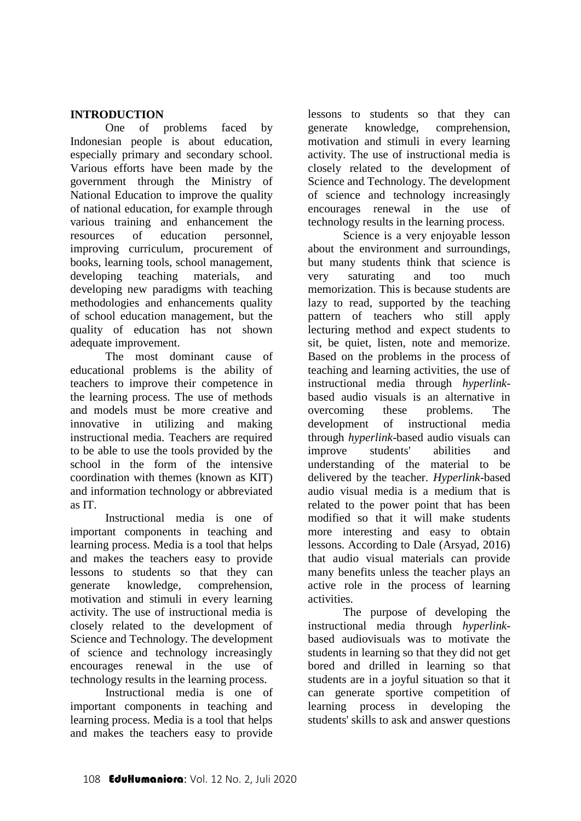### **INTRODUCTION**

One of problems faced by Indonesian people is about education, especially primary and secondary school. Various efforts have been made by the government through the Ministry of National Education to improve the quality of national education, for example through various training and enhancement the resources of education personnel, improving curriculum, procurement of books, learning tools, school management, developing teaching materials, and developing new paradigms with teaching methodologies and enhancements quality of school education management, but the quality of education has not shown adequate improvement.

The most dominant cause of educational problems is the ability of teachers to improve their competence in the learning process. The use of methods and models must be more creative and innovative in utilizing and making instructional media. Teachers are required to be able to use the tools provided by the school in the form of the intensive coordination with themes (known as KIT) and information technology or abbreviated as IT.

Instructional media is one of important components in teaching and learning process. Media is a tool that helps and makes the teachers easy to provide lessons to students so that they can generate knowledge, comprehension, motivation and stimuli in every learning activity. The use of instructional media is closely related to the development of Science and Technology. The development of science and technology increasingly encourages renewal in the use of technology results in the learning process.

Instructional media is one of important components in teaching and learning process. Media is a tool that helps and makes the teachers easy to provide

lessons to students so that they can generate knowledge, comprehension, motivation and stimuli in every learning activity. The use of instructional media is closely related to the development of Science and Technology. The development of science and technology increasingly encourages renewal in the use of technology results in the learning process.

Science is a very enjoyable lesson about the environment and surroundings, but many students think that science is very saturating and too much memorization. This is because students are lazy to read, supported by the teaching pattern of teachers who still apply lecturing method and expect students to sit, be quiet, listen, note and memorize. Based on the problems in the process of teaching and learning activities, the use of instructional media through *hyperlink*based audio visuals is an alternative in overcoming these problems. The development of instructional media through *hyperlink*-based audio visuals can improve students' abilities and understanding of the material to be delivered by the teacher. *Hyperlink*-based audio visual media is a medium that is related to the power point that has been modified so that it will make students more interesting and easy to obtain lessons. According to Dale (Arsyad, 2016) that audio visual materials can provide many benefits unless the teacher plays an active role in the process of learning activities.

The purpose of developing the instructional media through *hyperlink*based audiovisuals was to motivate the students in learning so that they did not get bored and drilled in learning so that students are in a joyful situation so that it can generate sportive competition of learning process in developing the students' skills to ask and answer questions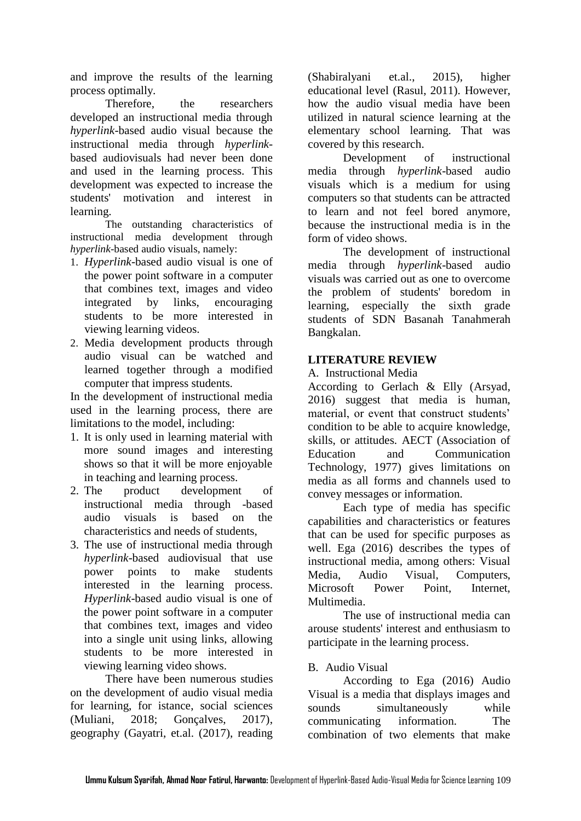and improve the results of the learning process optimally.

Therefore, the researchers developed an instructional media through *hyperlink-*based audio visual because the instructional media through *hyperlink*based audiovisuals had never been done and used in the learning process. This development was expected to increase the students' motivation and interest in learning.

The outstanding characteristics of instructional media development through *hyperlink*-based audio visuals, namely:

- 1. *Hyperlink*-based audio visual is one of the power point software in a computer that combines text, images and video integrated by links, encouraging students to be more interested in viewing learning videos.
- 2. Media development products through audio visual can be watched and learned together through a modified computer that impress students.

In the development of instructional media used in the learning process, there are limitations to the model, including:

- 1. It is only used in learning material with more sound images and interesting shows so that it will be more enjoyable in teaching and learning process.
- 2. The product development of instructional media through -based audio visuals is based on the characteristics and needs of students,
- 3. The use of instructional media through *hyperlink*-based audiovisual that use power points to make students interested in the learning process. *Hyperlink*-based audio visual is one of the power point software in a computer that combines text, images and video into a single unit using links, allowing students to be more interested in viewing learning video shows.

There have been numerous studies on the development of audio visual media for learning, for istance, social sciences (Muliani, 2018; Gonçalves, 2017), geography (Gayatri, et.al. (2017), reading (Shabiralyani et.al., 2015), higher educational level (Rasul, 2011). However, how the audio visual media have been utilized in natural science learning at the elementary school learning. That was covered by this research.

Development of instructional media through *hyperlink*-based audio visuals which is a medium for using computers so that students can be attracted to learn and not feel bored anymore, because the instructional media is in the form of video shows.

The development of instructional media through *hyperlink*-based audio visuals was carried out as one to overcome the problem of students' boredom in learning, especially the sixth grade students of SDN Basanah Tanahmerah Bangkalan.

## **LITERATURE REVIEW**

A. Instructional Media

According to Gerlach & Elly (Arsyad, 2016) suggest that media is human, material, or event that construct students' condition to be able to acquire knowledge, skills, or attitudes. AECT (Association of Education and Communication Technology, 1977) gives limitations on media as all forms and channels used to convey messages or information.

Each type of media has specific capabilities and characteristics or features that can be used for specific purposes as well. Ega (2016) describes the types of instructional media, among others: Visual Media, Audio Visual, Computers, Microsoft Power Point, Internet, Multimedia.

The use of instructional media can arouse students' interest and enthusiasm to participate in the learning process.

### B. Audio Visual

According to Ega (2016) Audio Visual is a media that displays images and sounds simultaneously while communicating information. The combination of two elements that make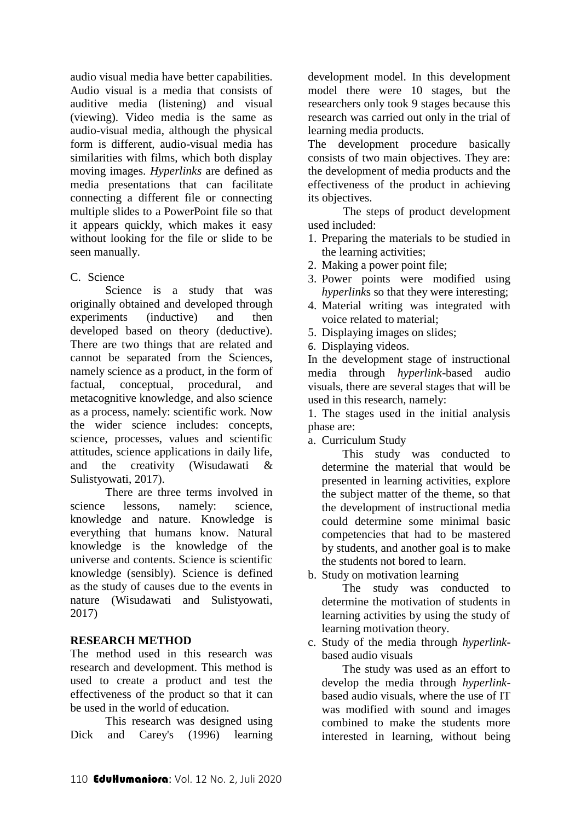audio visual media have better capabilities. Audio visual is a media that consists of auditive media (listening) and visual (viewing). Video media is the same as audio-visual media, although the physical form is different, audio-visual media has similarities with films, which both display moving images. *Hyperlinks* are defined as media presentations that can facilitate connecting a different file or connecting multiple slides to a PowerPoint file so that it appears quickly, which makes it easy without looking for the file or slide to be seen manually.

### C. Science

Science is a study that was originally obtained and developed through experiments (inductive) and then developed based on theory (deductive). There are two things that are related and cannot be separated from the Sciences, namely science as a product, in the form of factual, conceptual, procedural, and metacognitive knowledge, and also science as a process, namely: scientific work. Now the wider science includes: concepts, science, processes, values and scientific attitudes, science applications in daily life, and the creativity (Wisudawati & Sulistyowati, 2017).

There are three terms involved in science lessons, namely: science, knowledge and nature. Knowledge is everything that humans know. Natural knowledge is the knowledge of the universe and contents. Science is scientific knowledge (sensibly). Science is defined as the study of causes due to the events in nature (Wisudawati and Sulistyowati, 2017)

### **RESEARCH METHOD**

The method used in this research was research and development. This method is used to create a product and test the effectiveness of the product so that it can be used in the world of education.

This research was designed using Dick and Carey's (1996) learning development model. In this development model there were 10 stages, but the researchers only took 9 stages because this research was carried out only in the trial of learning media products.

The development procedure basically consists of two main objectives. They are: the development of media products and the effectiveness of the product in achieving its objectives.

The steps of product development used included:

- 1. Preparing the materials to be studied in the learning activities;
- 2. Making a power point file;
- 3. Power points were modified using *hyperlink*s so that they were interesting;
- 4. Material writing was integrated with voice related to material;
- 5. Displaying images on slides;
- 6. Displaying videos.

In the development stage of instructional media through *hyperlink*-based audio visuals, there are several stages that will be used in this research, namely:

1. The stages used in the initial analysis phase are:

a. Curriculum Study

This study was conducted to determine the material that would be presented in learning activities, explore the subject matter of the theme, so that the development of instructional media could determine some minimal basic competencies that had to be mastered by students, and another goal is to make the students not bored to learn.

b. Study on motivation learning

The study was conducted to determine the motivation of students in learning activities by using the study of learning motivation theory.

c. Study of the media through *hyperlink*based audio visuals

The study was used as an effort to develop the media through *hyperlink*based audio visuals, where the use of IT was modified with sound and images combined to make the students more interested in learning, without being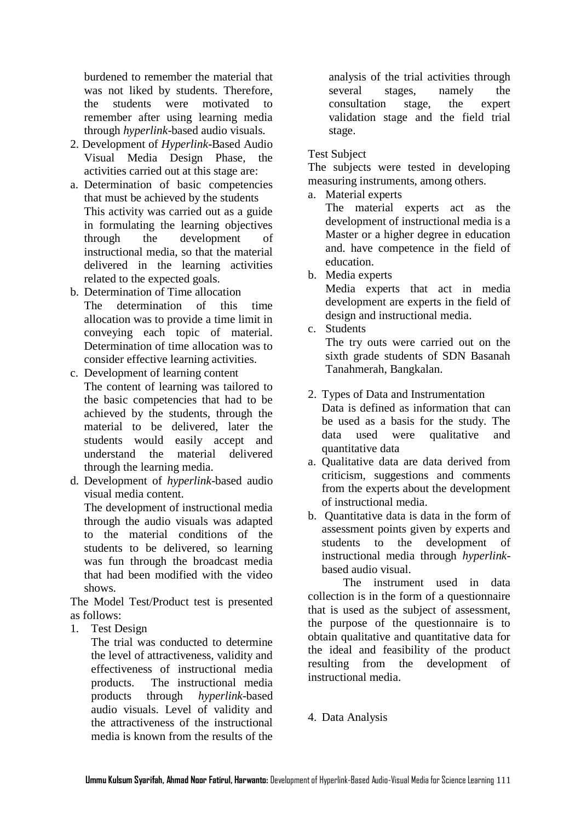burdened to remember the material that was not liked by students. Therefore, the students were motivated to remember after using learning media through *hyperlink*-based audio visuals.

- 2. Development of *Hyperlink*-Based Audio Visual Media Design Phase, the activities carried out at this stage are:
- a. Determination of basic competencies that must be achieved by the students This activity was carried out as a guide in formulating the learning objectives through the development of instructional media, so that the material delivered in the learning activities related to the expected goals.
- b. Determination of Time allocation The determination of this time allocation was to provide a time limit in conveying each topic of material. Determination of time allocation was to consider effective learning activities.
- c. Development of learning content The content of learning was tailored to the basic competencies that had to be achieved by the students, through the material to be delivered, later the students would easily accept and understand the material delivered through the learning media.
- d. Development of *hyperlink*-based audio visual media content.

The development of instructional media through the audio visuals was adapted to the material conditions of the students to be delivered, so learning was fun through the broadcast media that had been modified with the video shows.

The Model Test/Product test is presented as follows:

1. Test Design

The trial was conducted to determine the level of attractiveness, validity and effectiveness of instructional media products. The instructional media products through *hyperlink*-based audio visuals. Level of validity and the attractiveness of the instructional media is known from the results of the

analysis of the trial activities through several stages, namely the consultation stage, the expert validation stage and the field trial stage.

## Test Subject

The subjects were tested in developing measuring instruments, among others.

a. Material experts

The material experts act as the development of instructional media is a Master or a higher degree in education and. have competence in the field of education.

b. Media experts

Media experts that act in media development are experts in the field of design and instructional media.

c. Students

The try outs were carried out on the sixth grade students of SDN Basanah Tanahmerah, Bangkalan.

- 2. Types of Data and Instrumentation Data is defined as information that can be used as a basis for the study. The data used were qualitative and quantitative data
- a. Qualitative data are data derived from criticism, suggestions and comments from the experts about the development of instructional media.
- b. Quantitative data is data in the form of assessment points given by experts and students to the development of instructional media through *hyperlink*based audio visual.

The instrument used in data collection is in the form of a questionnaire that is used as the subject of assessment, the purpose of the questionnaire is to obtain qualitative and quantitative data for the ideal and feasibility of the product resulting from the development of instructional media.

4. Data Analysis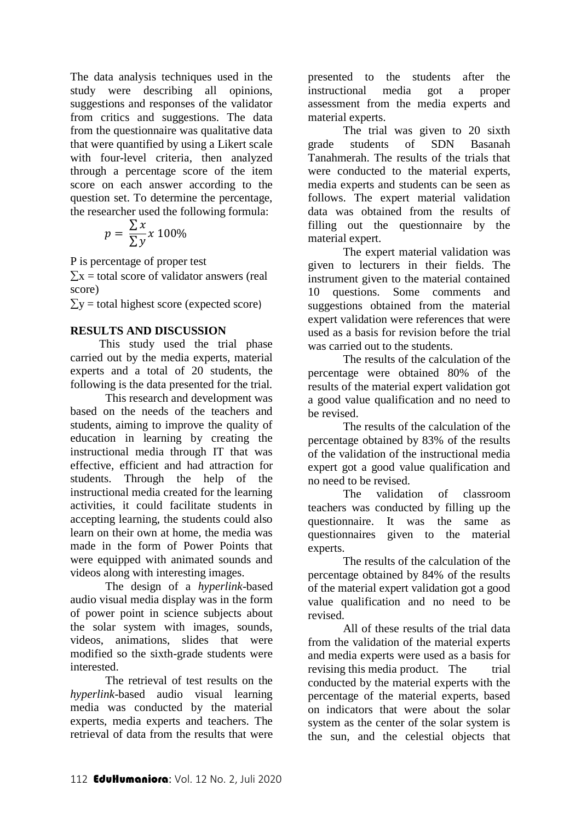The data analysis techniques used in the study were describing all opinions, suggestions and responses of the validator from critics and suggestions. The data from the questionnaire was qualitative data that were quantified by using a Likert scale with four-level criteria, then analyzed through a percentage score of the item score on each answer according to the question set. To determine the percentage, the researcher used the following formula:

$$
p = \frac{\sum x}{\sum y} x 100\%
$$

P is percentage of proper test

 $\Sigma x$  = total score of validator answers (real score)

 $\Sigma$ y = total highest score (expected score)

### **RESULTS AND DISCUSSION**

 This study used the trial phase carried out by the media experts, material experts and a total of 20 students, the following is the data presented for the trial.

This research and development was based on the needs of the teachers and students, aiming to improve the quality of education in learning by creating the instructional media through IT that was effective, efficient and had attraction for students. Through the help of the instructional media created for the learning activities, it could facilitate students in accepting learning, the students could also learn on their own at home, the media was made in the form of Power Points that were equipped with animated sounds and videos along with interesting images.

The design of a *hyperlink*-based audio visual media display was in the form of power point in science subjects about the solar system with images, sounds, videos, animations, slides that were modified so the sixth-grade students were interested.

The retrieval of test results on the *hyperlink*-based audio visual learning media was conducted by the material experts, media experts and teachers. The retrieval of data from the results that were presented to the students after the instructional media got a proper assessment from the media experts and material experts.

The trial was given to 20 sixth grade students of SDN Basanah Tanahmerah. The results of the trials that were conducted to the material experts, media experts and students can be seen as follows. The expert material validation data was obtained from the results of filling out the questionnaire by the material expert.

The expert material validation was given to lecturers in their fields. The instrument given to the material contained 10 questions. Some comments and suggestions obtained from the material expert validation were references that were used as a basis for revision before the trial was carried out to the students.

The results of the calculation of the percentage were obtained 80% of the results of the material expert validation got a good value qualification and no need to be revised.

The results of the calculation of the percentage obtained by 83% of the results of the validation of the instructional media expert got a good value qualification and no need to be revised.

The validation of classroom teachers was conducted by filling up the questionnaire. It was the same as questionnaires given to the material experts.

The results of the calculation of the percentage obtained by 84% of the results of the material expert validation got a good value qualification and no need to be revised.

All of these results of the trial data from the validation of the material experts and media experts were used as a basis for revising this media product. The trial conducted by the material experts with the percentage of the material experts, based on indicators that were about the solar system as the center of the solar system is the sun, and the celestial objects that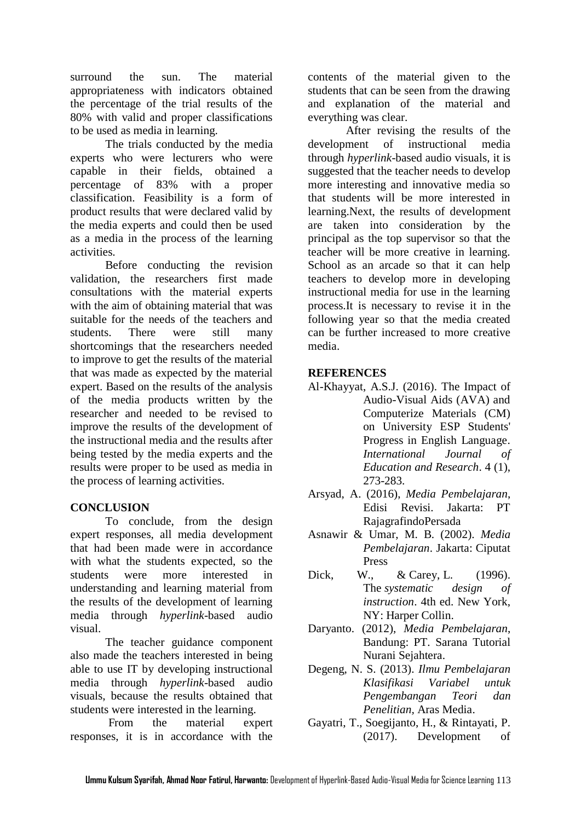surround the sun. The material appropriateness with indicators obtained the percentage of the trial results of the 80% with valid and proper classifications to be used as media in learning.

The trials conducted by the media experts who were lecturers who were capable in their fields, obtained a percentage of 83% with a proper classification. Feasibility is a form of product results that were declared valid by the media experts and could then be used as a media in the process of the learning activities.

Before conducting the revision validation, the researchers first made consultations with the material experts with the aim of obtaining material that was suitable for the needs of the teachers and students. There were still many shortcomings that the researchers needed to improve to get the results of the material that was made as expected by the material expert. Based on the results of the analysis of the media products written by the researcher and needed to be revised to improve the results of the development of the instructional media and the results after being tested by the media experts and the results were proper to be used as media in the process of learning activities.

### **CONCLUSION**

To conclude, from the design expert responses, all media development that had been made were in accordance with what the students expected, so the students were more interested in understanding and learning material from the results of the development of learning media through *hyperlink*-based audio visual.

 The teacher guidance component also made the teachers interested in being able to use IT by developing instructional media through *hyperlink*-based audio visuals, because the results obtained that students were interested in the learning.

From the material expert responses, it is in accordance with the

contents of the material given to the students that can be seen from the drawing and explanation of the material and everything was clear.

After revising the results of the development of instructional media through *hyperlink*-based audio visuals, it is suggested that the teacher needs to develop more interesting and innovative media so that students will be more interested in learning.Next, the results of development are taken into consideration by the principal as the top supervisor so that the teacher will be more creative in learning. School as an arcade so that it can help teachers to develop more in developing instructional media for use in the learning process.It is necessary to revise it in the following year so that the media created can be further increased to more creative media.

#### **REFERENCES**

- Al-Khayyat, A.S.J. (2016). The Impact of Audio-Visual Aids (AVA) and Computerize Materials (CM) on University ESP Students' Progress in English Language. *International Journal of Education and Research*. 4 (1), 273-283.
- Arsyad, A. (2016), *Media Pembelajaran*, Edisi Revisi. Jakarta: PT RajagrafindoPersada
- Asnawir & Umar, M. B. (2002). *Media Pembelajaran*. Jakarta: Ciputat Press
- Dick, W., & Carey, L. (1996). The *systematic design of instruction*. 4th ed. New York, NY: Harper Collin.
- Daryanto. (2012), *Media Pembelajaran*, Bandung: PT. Sarana Tutorial Nurani Sejahtera.
- Degeng, N. S. (2013). *Ilmu Pembelajaran Klasifikasi Variabel untuk Pengembangan Teori dan Penelitian,* Aras Media.
- Gayatri, T., Soegijanto, H., & Rintayati, P. (2017). Development of